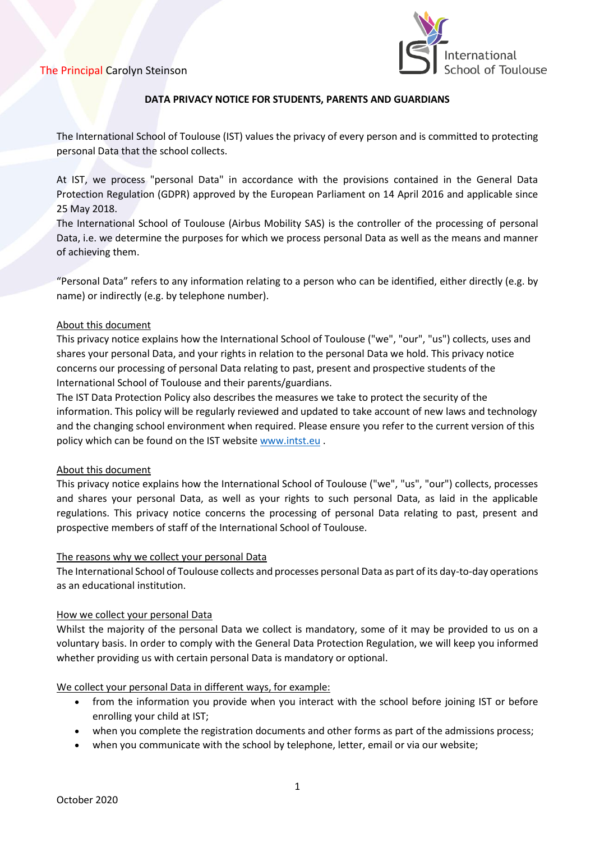

## **DATA PRIVACY NOTICE FOR STUDENTS, PARENTS AND GUARDIANS**

The International School of Toulouse (IST) values the privacy of every person and is committed to protecting personal Data that the school collects.

At IST, we process "personal Data" in accordance with the provisions contained in the General Data Protection Regulation (GDPR) approved by the European Parliament on 14 April 2016 and applicable since 25 May 2018.

The International School of Toulouse (Airbus Mobility SAS) is the controller of the processing of personal Data, i.e. we determine the purposes for which we process personal Data as well as the means and manner of achieving them.

"Personal Data" refers to any information relating to a person who can be identified, either directly (e.g. by name) or indirectly (e.g. by telephone number).

### About this document

This privacy notice explains how the International School of Toulouse ("we", "our", "us") collects, uses and shares your personal Data, and your rights in relation to the personal Data we hold. This privacy notice concerns our processing of personal Data relating to past, present and prospective students of the International School of Toulouse and their parents/guardians.

The IST Data Protection Policy also describes the measures we take to protect the security of the information. This policy will be regularly reviewed and updated to take account of new laws and technology and the changing school environment when required. Please ensure you refer to the current version of this policy which can be found on the IST website [www.intst.eu](http://www.intst.eu/) .

## About this document

This privacy notice explains how the International School of Toulouse ("we", "us", "our") collects, processes and shares your personal Data, as well as your rights to such personal Data, as laid in the applicable regulations. This privacy notice concerns the processing of personal Data relating to past, present and prospective members of staff of the International School of Toulouse.

## The reasons why we collect your personal Data

The International School of Toulouse collects and processes personal Data as part of its day-to-day operations as an educational institution.

#### How we collect your personal Data

Whilst the majority of the personal Data we collect is mandatory, some of it may be provided to us on a voluntary basis. In order to comply with the General Data Protection Regulation, we will keep you informed whether providing us with certain personal Data is mandatory or optional.

## We collect your personal Data in different ways, for example:

- from the information you provide when you interact with the school before joining IST or before enrolling your child at IST;
- when you complete the registration documents and other forms as part of the admissions process;
- when you communicate with the school by telephone, letter, email or via our website;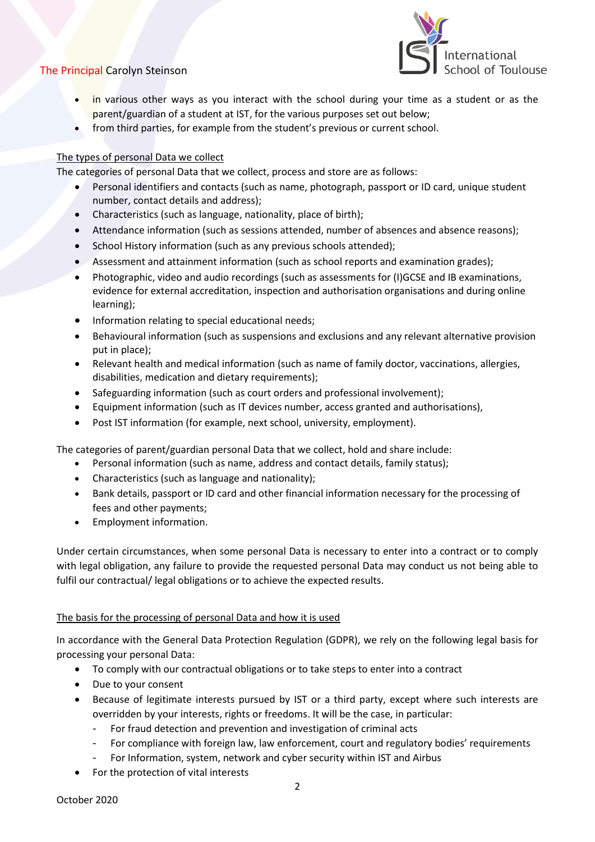

- in various other ways as you interact with the school during your time as a student or as the parent/guardian of a student at IST, for the various purposes set out below;
- from third parties, for example from the student's previous or current school.

## The types of personal Data we collect

The categories of personal Data that we collect, process and store are as follows:

- Personal identifiers and contacts (such as name, photograph, passport or ID card, unique student number, contact details and address);
- Characteristics (such as language, nationality, place of birth);
- Attendance information (such as sessions attended, number of absences and absence reasons);
- School History information (such as any previous schools attended);
- Assessment and attainment information (such as school reports and examination grades);
- Photographic, video and audio recordings (such as assessments for (I)GCSE and IB examinations, evidence for external accreditation, inspection and authorisation organisations and during online learning);
- Information relating to special educational needs;
- Behavioural information (such as suspensions and exclusions and any relevant alternative provision put in place);
- Relevant health and medical information (such as name of family doctor, vaccinations, allergies, disabilities, medication and dietary requirements);
- Safeguarding information (such as court orders and professional involvement);
- Equipment information (such as IT devices number, access granted and authorisations),
- Post IST information (for example, next school, university, employment).

The categories of parent/guardian personal Data that we collect, hold and share include:

- Personal information (such as name, address and contact details, family status);
- Characteristics (such as language and nationality);
- Bank details, passport or ID card and other financial information necessary for the processing of fees and other payments;
- Employment information.

Under certain circumstances, when some personal Data is necessary to enter into a contract or to comply with legal obligation, any failure to provide the requested personal Data may conduct us not being able to fulfil our contractual/ legal obligations or to achieve the expected results.

## The basis for the processing of personal Data and how it is used

In accordance with the General Data Protection Regulation (GDPR), we rely on the following legal basis for processing your personal Data:

- To comply with our contractual obligations or to take steps to enter into a contract
- Due to your consent
- Because of legitimate interests pursued by IST or a third party, except where such interests are overridden by your interests, rights or freedoms. It will be the case, in particular:
	- For fraud detection and prevention and investigation of criminal acts
	- For compliance with foreign law, law enforcement, court and regulatory bodies' requirements
	- For Information, system, network and cyber security within IST and Airbus
- For the protection of vital interests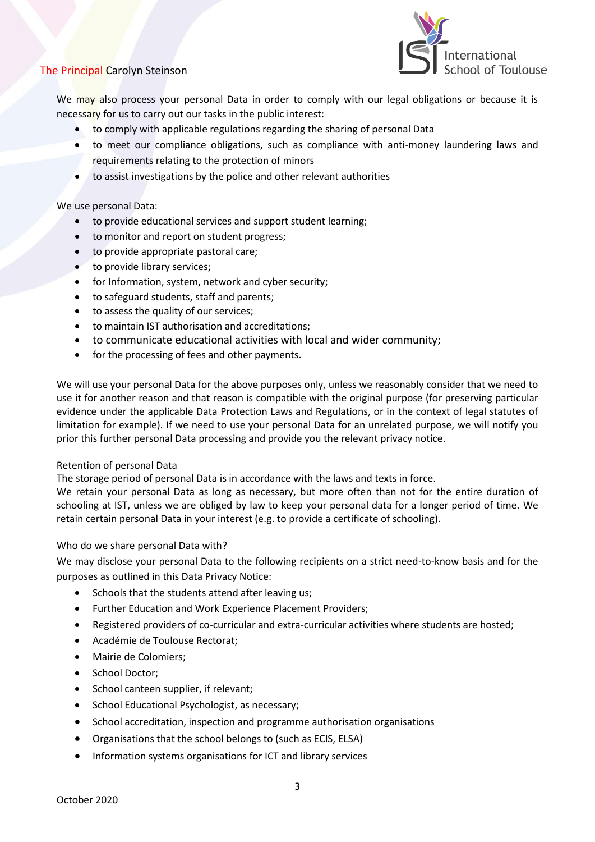

We may also process your personal Data in order to comply with our legal obligations or because it is necessary for us to carry out our tasks in the public interest:

- to comply with applicable regulations regarding the sharing of personal Data
- to meet our compliance obligations, such as compliance with anti-money laundering laws and requirements relating to the protection of minors
- to assist investigations by the police and other relevant authorities

We use personal Data:

- to provide educational services and support student learning;
- to monitor and report on student progress;
- to provide appropriate pastoral care;
- to provide library services;
- for Information, system, network and cyber security;
- to safeguard students, staff and parents;
- to assess the quality of our services;
- to maintain IST authorisation and accreditations;
- to communicate educational activities with local and wider community;
- for the processing of fees and other payments.

We will use your personal Data for the above purposes only, unless we reasonably consider that we need to use it for another reason and that reason is compatible with the original purpose (for preserving particular evidence under the applicable Data Protection Laws and Regulations, or in the context of legal statutes of limitation for example). If we need to use your personal Data for an unrelated purpose, we will notify you prior this further personal Data processing and provide you the relevant privacy notice.

#### Retention of personal Data

The storage period of personal Data is in accordance with the laws and texts in force.

We retain your personal Data as long as necessary, but more often than not for the entire duration of schooling at IST, unless we are obliged by law to keep your personal data for a longer period of time. We retain certain personal Data in your interest (e.g. to provide a certificate of schooling).

#### Who do we share personal Data with?

We may disclose your personal Data to the following recipients on a strict need-to-know basis and for the purposes as outlined in this Data Privacy Notice:

- Schools that the students attend after leaving us;
- Further Education and Work Experience Placement Providers;
- Registered providers of co-curricular and extra-curricular activities where students are hosted;
- Académie de Toulouse Rectorat;
- Mairie de Colomiers;
- School Doctor;
- School canteen supplier, if relevant;
- School Educational Psychologist, as necessary;
- School accreditation, inspection and programme authorisation organisations
- Organisations that the school belongs to (such as ECIS, ELSA)
- Information systems organisations for ICT and library services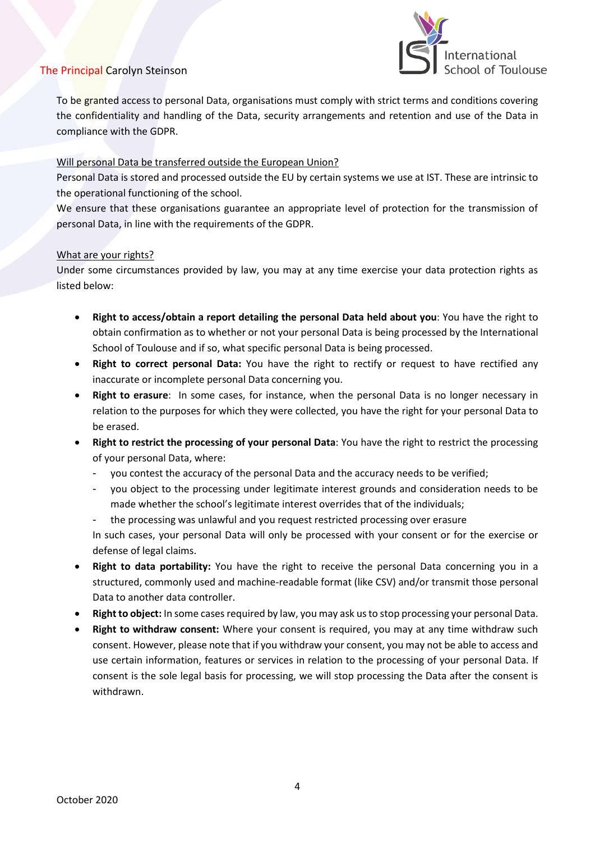

To be granted access to personal Data, organisations must comply with strict terms and conditions covering the confidentiality and handling of the Data, security arrangements and retention and use of the Data in compliance with the GDPR.

### Will personal Data be transferred outside the European Union?

Personal Data is stored and processed outside the EU by certain systems we use at IST. These are intrinsic to the operational functioning of the school.

We ensure that these organisations guarantee an appropriate level of protection for the transmission of personal Data, in line with the requirements of the GDPR.

### What are your rights?

Under some circumstances provided by law, you may at any time exercise your data protection rights as listed below:

- **Right to access/obtain a report detailing the personal Data held about you**: You have the right to obtain confirmation as to whether or not your personal Data is being processed by the International School of Toulouse and if so, what specific personal Data is being processed.
- **Right to correct personal Data:** You have the right to rectify or request to have rectified any inaccurate or incomplete personal Data concerning you.
- **Right to erasure**: In some cases, for instance, when the personal Data is no longer necessary in relation to the purposes for which they were collected, you have the right for your personal Data to be erased.
- **Right to restrict the processing of your personal Data**: You have the right to restrict the processing of your personal Data, where:
	- you contest the accuracy of the personal Data and the accuracy needs to be verified;
	- you object to the processing under legitimate interest grounds and consideration needs to be made whether the school's legitimate interest overrides that of the individuals;
	- the processing was unlawful and you request restricted processing over erasure In such cases, your personal Data will only be processed with your consent or for the exercise or defense of legal claims.
- **Right to data portability:** You have the right to receive the personal Data concerning you in a structured, commonly used and machine-readable format (like CSV) and/or transmit those personal Data to another data controller.
- **Right to object:** In some cases required by law, you may ask us to stop processing your personal Data.
- **Right to withdraw consent:** Where your consent is required, you may at any time withdraw such consent. However, please note that if you withdraw your consent, you may not be able to access and use certain information, features or services in relation to the processing of your personal Data. If consent is the sole legal basis for processing, we will stop processing the Data after the consent is withdrawn.